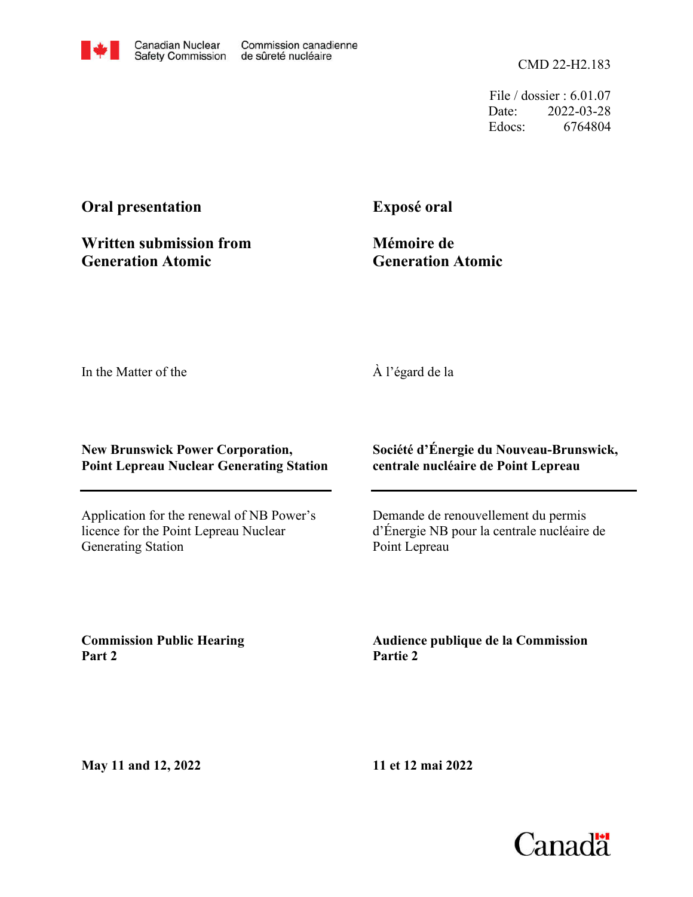CMD 22-H2.183

File / dossier : 6.01.07 Date: 2022-03-28 Edocs: 6764804

# **Oral presentation**

**Written submission from Generation Atomic**

**Exposé oral**

**Mémoire de Generation Atomic**

In the Matter of the

## À l'égard de la

### **New Brunswick Power Corporation, Point Lepreau Nuclear Generating Station**

Application for the renewal of NB Power's licence for the Point Lepreau Nuclear Generating Station

### **Société d'Énergie du Nouveau-Brunswick, centrale nucléaire de Point Lepreau**

Demande de renouvellement du permis d'Énergie NB pour la centrale nucléaire de Point Lepreau

**Commission Public Hearing Part 2**

**Audience publique de la Commission Partie 2**

**May 11 and 12, 2022**

**11 et 12 mai 2022**

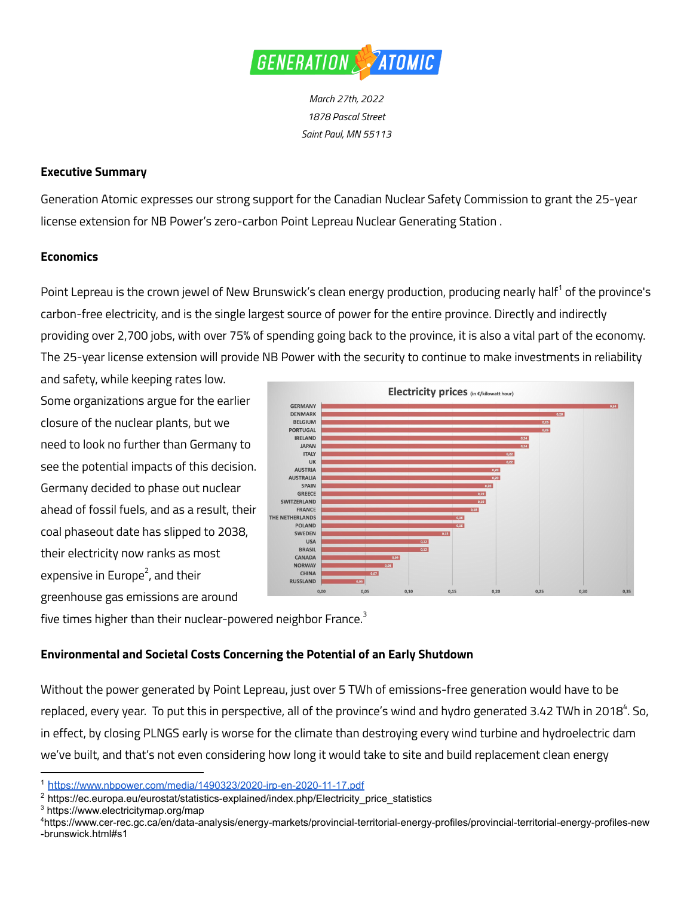

*March 27th, 2022 1878 Pascal Street Saint Paul, MN 55113*

#### **Executive Summary**

Generation Atomic expresses our strong support for the Canadian Nuclear Safety Commission to grant the 25-year license extension for NB Power's zero-carbon Point Lepreau Nuclear Generating Station .

#### **Economics**

Point Lepreau is the crown jewel of New Brunswick's clean energy production, producing nearly half<sup>1</sup> of the province's carbon-free electricity, and is the single largest source of power for the entire province. Directly and indirectly providing over 2,700 jobs, with over 75% of spending going back to the province, it is also a vital part of the economy. The 25-year license extension will provide NB Power with the security to continue to make investments in reliability

and safety, while keeping rates low. Some organizations argue for the earlier closure of the nuclear plants, but we need to look no further than Germany to see the potential impacts of this decision. Germany decided to phase out nuclear ahead of fossil fuels, and as a result, their coal phaseout date has slipped to 2038, their electricity now ranks as most expensive in Europe 2 , and their greenhouse gas emissions are around



five times higher than their nuclear-powered neighbor France. $^{\text{3}}$ 

### **Environmental and Societal Costs Concerning the Potential of an Early Shutdown**

Without the power generated by Point Lepreau, just over 5 TWh of emissions-free generation would have to be replaced, every year. To put this in perspective, all of the province's wind and hydro generated 3.42 TWh in 2018<sup>4</sup>. So, in effect, by closing PLNGS early is worse for the climate than destroying every wind turbine and hydroelectric dam we've built, and that's not even considering how long it would take to site and build replacement clean energy

<sup>1</sup> htt[ps://www.nbpower.com/media/1490323/2020-irp-en-2020-11-17.pdf](https://www.nbpower.com/media/1490323/2020-irp-en-2020-11-17.pdf)

<sup>&</sup>lt;sup>2</sup> https://ec.europa.eu/eurostat/statistics-explained/index.php/Electricity\_price\_statistics

<sup>3</sup> https://www.electricitymap.org/map

<sup>4</sup>https://www.cer-rec.gc.ca/en/data-analysis/energy-markets/provincial-territorial-energy-profiles/provincial-territorial-energy-profiles-new -brunswick.html#s1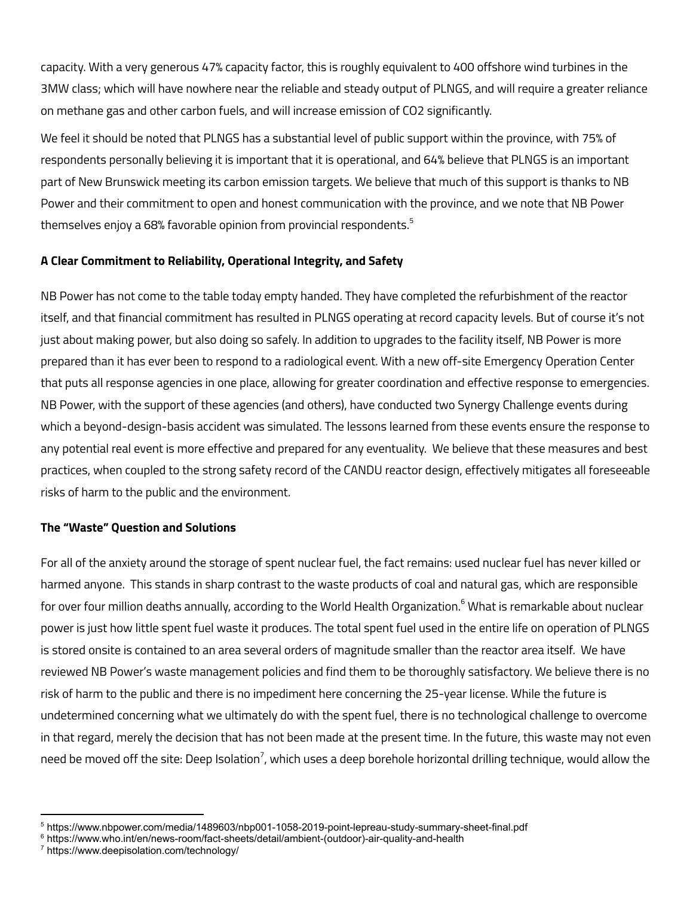capacity. With a very generous 47% capacity factor, this is roughly equivalent to 400 offshore wind turbines in the 3MW class; which will have nowhere near the reliable and steady output of PLNGS, and will require a greater reliance on methane gas and other carbon fuels, and will increase emission of CO2 significantly.

We feel it should be noted that PLNGS has a substantial level of public support within the province, with 75% of respondents personally believing it is important that it is operational, and 64% believe that PLNGS is an important part of New Brunswick meeting its carbon emission targets. We believe that much of this support is thanks to NB Power and their commitment to open and honest communication with the province, and we note that NB Power themselves enjoy a 68% favorable opinion from provincial respondents. $^{\rm 5}$ 

### **A Clear Commitment to Reliability, Operational Integrity, and Safety**

NB Power has not come to the table today empty handed. They have completed the refurbishment of the reactor itself, and that financial commitment has resulted in PLNGS operating at record capacity levels. But of course it's not just about making power, but also doing so safely. In addition to upgrades to the facility itself, NB Power is more prepared than it has ever been to respond to a radiological event. With a new off-site Emergency Operation Center that puts all response agencies in one place, allowing for greater coordination and effective response to emergencies. NB Power, with the support of these agencies (and others), have conducted two Synergy Challenge events during which a beyond-design-basis accident was simulated. The lessons learned from these events ensure the response to any potential real event is more effective and prepared for any eventuality. We believe that these measures and best practices, when coupled to the strong safety record of the CANDU reactor design, effectively mitigates all foreseeable risks of harm to the public and the environment.

### **The "Waste" Question and Solutions**

For all of the anxiety around the storage of spent nuclear fuel, the fact remains: used nuclear fuel has never killed or harmed anyone. This stands in sharp contrast to the waste products of coal and natural gas, which are responsible for over four million deaths annually, according to the World Health Organization. <sup>6</sup> What is remarkable about nuclear power is just how little spent fuel waste it produces. The total spent fuel used in the entire life on operation of PLNGS is stored onsite is contained to an area several orders of magnitude smaller than the reactor area itself. We have reviewed NB Power's waste management policies and find them to be thoroughly satisfactory. We believe there is no risk of harm to the public and there is no impediment here concerning the 25-year license. While the future is undetermined concerning what we ultimately do with the spent fuel, there is no technological challenge to overcome in that regard, merely the decision that has not been made at the present time. In the future, this waste may not even need be moved off the site: Deep Isolation<sup>7</sup>, which uses a deep borehole horizontal drilling technique, would allow the

<sup>5</sup> https://www.nbpower.com/media/1489603/nbp001-1058-2019-point-lepreau-study-summary-sheet-final.pdf

<sup>6</sup> https://www.who.int/en/news-room/fact-sheets/detail/ambient-(outdoor)-air-quality-and-health

<sup>7</sup> https://www.deepisolation.com/technology/